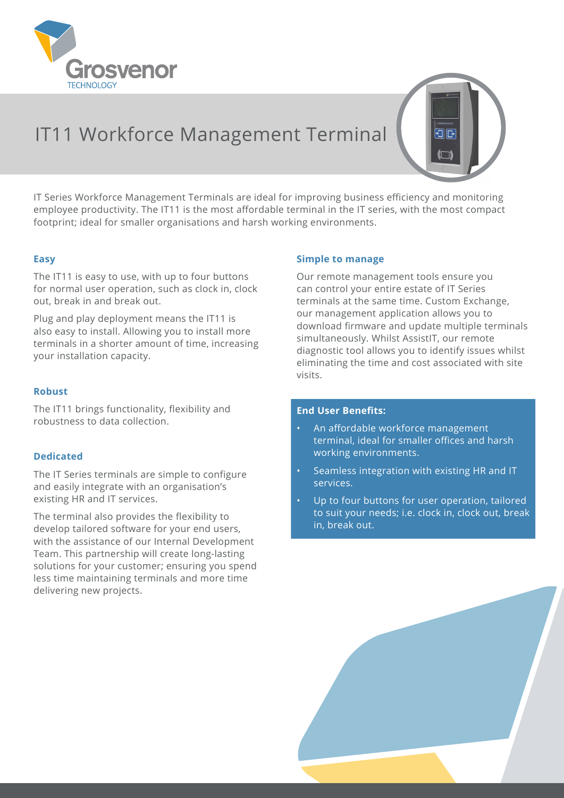

IT11 Workforce Management Terminal

IT Series Workforce Management Terminals are ideal for improving business efficiency and monitoring employee productivity. The IT11 is the most affordable terminal in the IT series, with the most compact footprint; ideal for smaller organisations and harsh working environments.

## **Easy**

The IT11 is easy to use, with up to four buttons for normal user operation, such as clock in, clock out, break in and break out.

Plug and play deployment means the IT11 is also easy to install. Allowing you to install more terminals in a shorter amount of time, increasing your installation capacity.

### **Robust**

The IT11 brings functionality, flexibility and robustness to data collection.

### **Dedicated**

The IT Series terminals are simple to configure and easily integrate with an organisation's existing HR and IT services.

The terminal also provides the flexibility to develop tailored software for your end users, with the assistance of our Internal Development Team. This partnership will create long-lasting solutions for your customer; ensuring you spend less time maintaining terminals and more time delivering new projects.

#### **Simple to manage**

Our remote management tools ensure you can control your entire estate of IT Series terminals at the same time. Custom Exchange, our management application allows you to download firmware and update multiple terminals simultaneously. Whilst AssistIT, our remote diagnostic tool allows you to identify issues whilst eliminating the time and cost associated with site visits.

打压

## **End User Benefits:**

- An affordable workforce management terminal, ideal for smaller offices and harsh working environments.
- Seamless integration with existing HR and IT services.
- Up to four buttons for user operation, tailored to suit your needs; i.e. clock in, clock out, break in, break out.